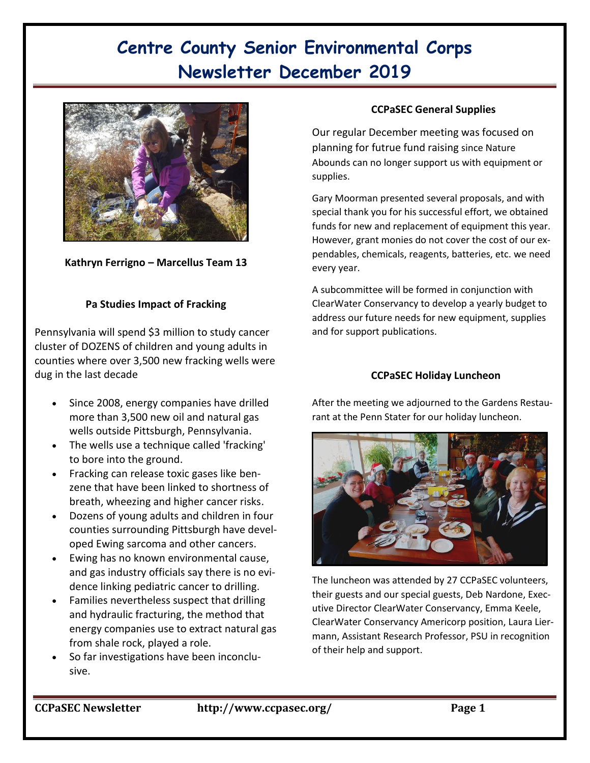# **Centre County Senior Environmental Corps Newsletter December 2019**



**Kathryn Ferrigno – Marcellus Team 13**

### **Pa Studies Impact of Fracking**

Pennsylvania will spend \$3 million to study cancer cluster of DOZENS of children and young adults in counties where over 3,500 new fracking wells were dug in the last decade

- Since 2008, energy companies have drilled more than 3,500 new oil and natural gas wells outside Pittsburgh, Pennsylvania.
- The wells use a technique called 'fracking' to bore into the ground.
- Fracking can release toxic gases like benzene that have been linked to shortness of breath, wheezing and higher cancer risks.
- Dozens of young adults and children in four counties surrounding Pittsburgh have developed Ewing sarcoma and other cancers.
- Ewing has no known environmental cause, and gas industry officials say there is no evidence linking pediatric cancer to drilling.
- Families nevertheless suspect that drilling and hydraulic fracturing, the method that energy companies use to extract natural gas from shale rock, played a role.
- So far investigations have been inconclusive.

### **CCPaSEC General Supplies**

Our regular December meeting was focused on planning for futrue fund raising since Nature Abounds can no longer support us with equipment or supplies.

Gary Moorman presented several proposals, and with special thank you for his successful effort, we obtained funds for new and replacement of equipment this year. However, grant monies do not cover the cost of our expendables, chemicals, reagents, batteries, etc. we need every year.

A subcommittee will be formed in conjunction with ClearWater Conservancy to develop a yearly budget to address our future needs for new equipment, supplies and for support publications.

#### **CCPaSEC Holiday Luncheon**

After the meeting we adjourned to the Gardens Restaurant at the Penn Stater for our holiday luncheon.



The luncheon was attended by 27 CCPaSEC volunteers, their guests and our special guests, Deb Nardone, Executive Director ClearWater Conservancy, Emma Keele, ClearWater Conservancy Americorp position, Laura Liermann, Assistant Research Professor, PSU in recognition of their help and support.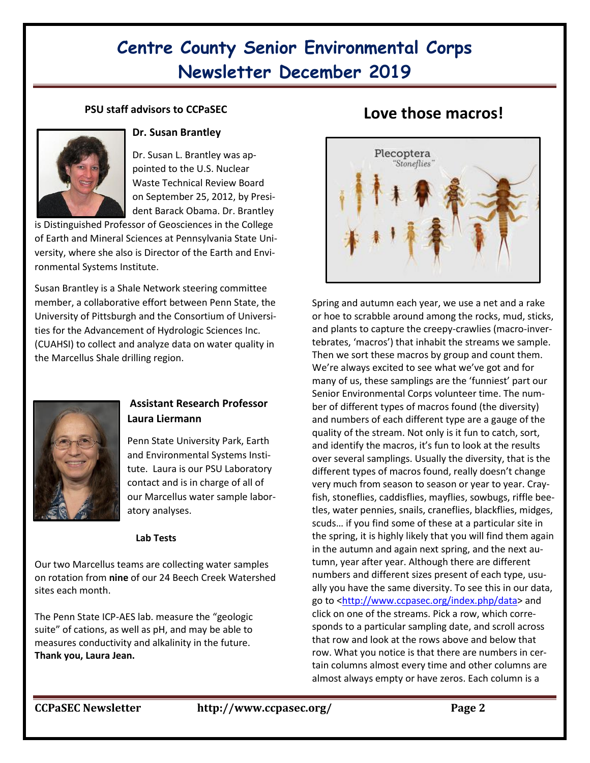# **Centre County Senior Environmental Corps Newsletter December 2019**

### **PSU staff advisors to CCPaSEC**



#### **Dr. Susan Brantley**

Dr. Susan L. Brantley was appointed to the U.S. Nuclear Waste Technical Review Board on September 25, 2012, by President Barack Obama. Dr. Brantley

is Distinguished Professor of Geosciences in the College of Earth and Mineral Sciences at Pennsylvania State University, where she also is Director of the Earth and Environmental Systems Institute.

Susan Brantley is a Shale Network steering committee member, a collaborative effort between Penn State, the University of Pittsburgh and the Consortium of Universities for the Advancement of Hydrologic Sciences Inc. (CUAHSI) to collect and analyze data on water quality in the Marcellus Shale drilling region.



### **Assistant Research Professor Laura Liermann**

Penn State University Park, Earth and Environmental Systems Institute. Laura is our PSU Laboratory contact and is in charge of all of our Marcellus water sample laboratory analyses.

#### **Lab Tests**

Our two Marcellus teams are collecting water samples on rotation from **nine** of our 24 Beech Creek Watershed sites each month.

The Penn State ICP-AES lab. measure the "geologic suite" of cations, as well as pH, and may be able to measures conductivity and alkalinity in the future. **Thank you, Laura Jean.**

## **Love those macros!**



Spring and autumn each year, we use a net and a rake or hoe to scrabble around among the rocks, mud, sticks, and plants to capture the creepy-crawlies (macro-invertebrates, 'macros') that inhabit the streams we sample. Then we sort these macros by group and count them. We're always excited to see what we've got and for many of us, these samplings are the 'funniest' part our Senior Environmental Corps volunteer time. The number of different types of macros found (the diversity) and numbers of each different type are a gauge of the quality of the stream. Not only is it fun to catch, sort, and identify the macros, it's fun to look at the results over several samplings. Usually the diversity, that is the different types of macros found, really doesn't change very much from season to season or year to year. Crayfish, stoneflies, caddisflies, mayflies, sowbugs, riffle beetles, water pennies, snails, craneflies, blackflies, midges, scuds… if you find some of these at a particular site in the spring, it is highly likely that you will find them again in the autumn and again next spring, and the next autumn, year after year. Although there are different numbers and different sizes present of each type, usually you have the same diversity. To see this in our data, go to [<http://www.ccpasec.org/index.php/data>](http://www.ccpasec.org/index.php/data) and click on one of the streams. Pick a row, which corresponds to a particular sampling date, and scroll across that row and look at the rows above and below that row. What you notice is that there are numbers in certain columns almost every time and other columns are almost always empty or have zeros. Each column is a

**CCPaSEC Newsletter http://www.ccpasec.org/ Page 2**